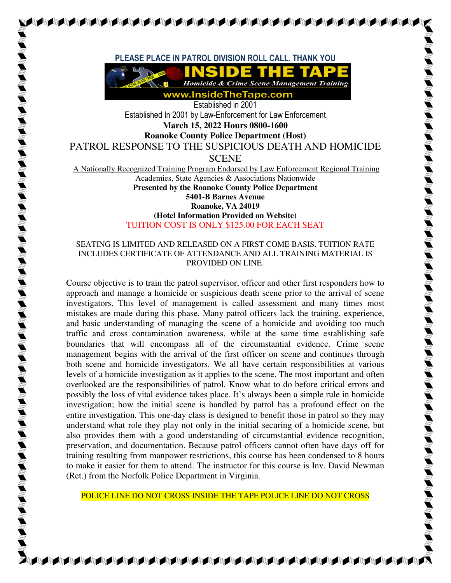**PLEASE PLACE IN PATROL DIVISION ROLL CALL. THANK YOU** 



Established in 2001 Established In 2001 by Law-Enforcement for Law Enforcement **March 15, 2022 Hours 0800-1600 Roanoke County Police Department (Host)**  PATROL RESPONSE TO THE SUSPICIOUS DEATH AND HOMICIDE SCENE

A Nationally Recognized Training Program Endorsed by Law Enforcement Regional Training Academies, State Agencies & Associations Nationwide **Presented by the Roanoke County Police Department 5401-B Barnes Avenue Roanoke, VA 24019 (Hotel Information Provided on Website)**

TUITION COST IS ONLY \$125.00 FOR EACH SEAT

## SEATING IS LIMITED AND RELEASED ON A FIRST COME BASIS. TUITION RATE INCLUDES CERTIFICATE OF ATTENDANCE AND ALL TRAINING MATERIAL IS PROVIDED ON LINE.

Course objective is to train the patrol supervisor, officer and other first responders how to approach and manage a homicide or suspicious death scene prior to the arrival of scene investigators. This level of management is called assessment and many times most mistakes are made during this phase. Many patrol officers lack the training, experience, and basic understanding of managing the scene of a homicide and avoiding too much traffic and cross contamination awareness, while at the same time establishing safe boundaries that will encompass all of the circumstantial evidence. Crime scene management begins with the arrival of the first officer on scene and continues through both scene and homicide investigators. We all have certain responsibilities at various levels of a homicide investigation as it applies to the scene. The most important and often overlooked are the responsibilities of patrol. Know what to do before critical errors and possibly the loss of vital evidence takes place. It's always been a simple rule in homicide investigation; how the initial scene is handled by patrol has a profound effect on the entire investigation. This one-day class is designed to benefit those in patrol so they may understand what role they play not only in the initial securing of a homicide scene, but also provides them with a good understanding of circumstantial evidence recognition, preservation, and documentation. Because patrol officers cannot often have days off for training resulting from manpower restrictions, this course has been condensed to 8 hours to make it easier for them to attend. The instructor for this course is Inv. David Newman (Ret.) from the Norfolk Police Department in Virginia.

POLICE LINE DO NOT CROSS INSIDE THE TAPE POLICE LINE DO NOT CROSS

**AABADA GALA GALA GALA GALA**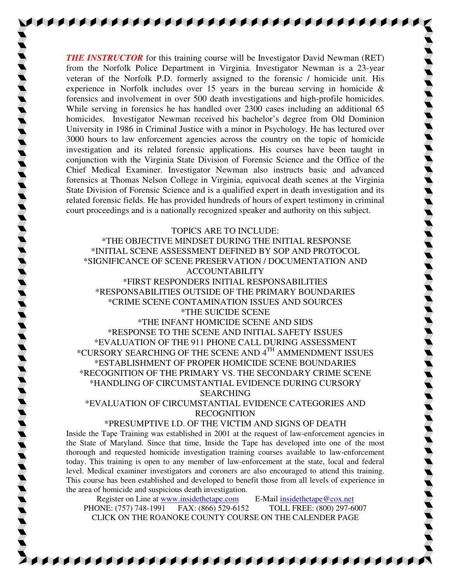*THE INSTRUCTOR* for this training course will be Investigator David Newman (RET) from the Norfolk Police Department in Virginia. Investigator Newman is a 23-year veteran of the Norfolk P.D. formerly assigned to the forensic / homicide unit. His experience in Norfolk includes over 15 years in the bureau serving in homicide & forensics and involvement in over 500 death investigations and high-profile homicides. While serving in forensics he has handled over 2300 cases including an additional 65 homicides. Investigator Newman received his bachelor's degree from Old Dominion University in 1986 in Criminal Justice with a minor in Psychology. He has lectured over 3000 hours to law enforcement agencies across the country on the topic of homicide investigation and its related forensic applications. His courses have been taught in conjunction with the Virginia State Division of Forensic Science and the Office of the Chief Medical Examiner. Investigator Newman also instructs basic and advanced forensics at Thomas Nelson College in Virginia, equivocal death scenes at the Virginia State Division of Forensic Science and is a qualified expert in death investigation and its related forensic fields. He has provided hundreds of hours of expert testimony in criminal court proceedings and is a nationally recognized speaker and authority on this subject.

TOPICS ARE TO INCLUDE: \*THE OBJECTIVE MINDSET DURING THE INITIAL RESPONSE \*INITIAL SCENE ASSESSMENT DEFINED BY SOP AND PROTOCOL \*SIGNIFICANCE OF SCENE PRESERVATION / DOCUMENTATION AND ACCOUNTABILITY \*FIRST RESPONDERS INITIAL RESPONSABILITIES \*RESPONSABILITIES OUTSIDE OF THE PRIMARY BOUNDARIES \*CRIME SCENE CONTAMINATION ISSUES AND SOURCES \*THE SUICIDE SCENE \*THE INFANT HOMICIDE SCENE AND SIDS \*RESPONSE TO THE SCENE AND INITIAL SAFETY ISSUES \*EVALUATION OF THE 911 PHONE CALL DURING ASSESSMENT

\*CURSORY SEARCHING OF THE SCENE AND 4TH AMMENDMENT ISSUES \*ESTABLISHMENT OF PROPER HOMICIDE SCENE BOUNDARIES \*RECOGNITION OF THE PRIMARY VS. THE SECONDARY CRIME SCENE \*HANDLING OF CIRCUMSTANTIAL EVIDENCE DURING CURSORY SEARCHING

\*EVALUATION OF CIRCUMSTANTIAL EVIDENCE CATEGORIES AND RECOGNITION

## \*PRESUMPTIVE I.D. OF THE VICTIM AND SIGNS OF DEATH

Inside the Tape Training was established in 2001 at the request of law-enforcement agencies in the State of Maryland. Since that time, Inside the Tape has developed into one of the most thorough and requested homicide investigation training courses available to law-enforcement today. This training is open to any member of law-enforcement at the state, local and federal level. Medical examiner investigators and coroners are also encouraged to attend this training. This course has been established and developed to benefit those from all levels of experience in the area of homicide and suspicious death investigation.

Register on Line at www.insidethetape.com E-Mail insidethetape@cox.net PHONE: (757) 748-1991 FAX: (866) 529-6152 TOLL FREE: (800) 297-6007 CLICK ON THE ROANOKE COUNTY COURSE ON THE CALENDER PAGE

**A BERTAL A BERTAL A BERTAL A BERTAL A BERTAL A BERTAL A BERTAL A BERTAL A BERTAL A BERTAL A BERTAL A BERTAL A**